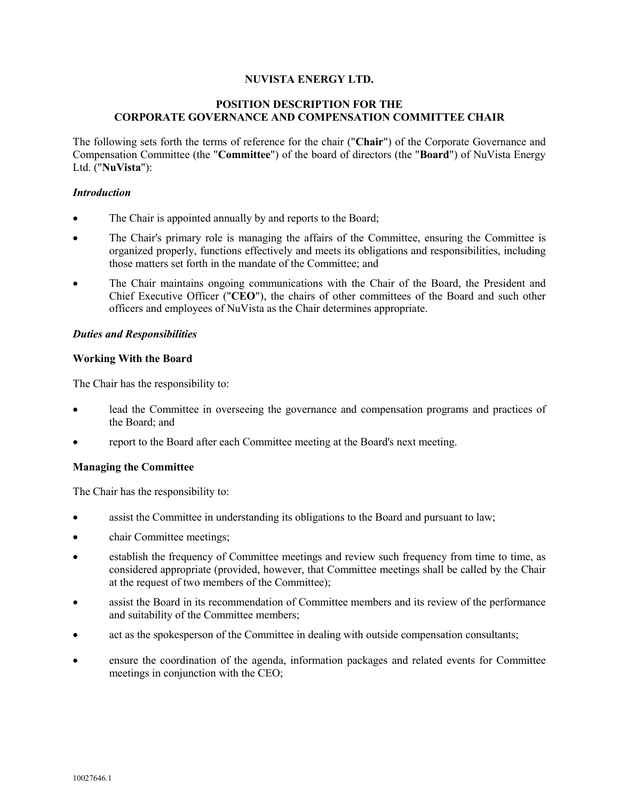# **NUVISTA ENERGY LTD.**

# **POSITION DESCRIPTION FOR THE CORPORATE GOVERNANCE AND COMPENSATION COMMITTEE CHAIR**

The following sets forth the terms of reference for the chair ("**Chair**") of the Corporate Governance and Compensation Committee (the "**Committee**") of the board of directors (the "**Board**") of NuVista Energy Ltd. ("**NuVista**"):

## *Introduction*

- The Chair is appointed annually by and reports to the Board;
- The Chair's primary role is managing the affairs of the Committee, ensuring the Committee is organized properly, functions effectively and meets its obligations and responsibilities, including those matters set forth in the mandate of the Committee; and
- The Chair maintains ongoing communications with the Chair of the Board, the President and Chief Executive Officer ("**CEO**"), the chairs of other committees of the Board and such other officers and employees of NuVista as the Chair determines appropriate.

# *Duties and Responsibilities*

# **Working With the Board**

The Chair has the responsibility to:

- lead the Committee in overseeing the governance and compensation programs and practices of the Board; and
- report to the Board after each Committee meeting at the Board's next meeting.

#### **Managing the Committee**

The Chair has the responsibility to:

- assist the Committee in understanding its obligations to the Board and pursuant to law;
- chair Committee meetings;
- establish the frequency of Committee meetings and review such frequency from time to time, as considered appropriate (provided, however, that Committee meetings shall be called by the Chair at the request of two members of the Committee);
- assist the Board in its recommendation of Committee members and its review of the performance and suitability of the Committee members;
- act as the spokesperson of the Committee in dealing with outside compensation consultants;
- ensure the coordination of the agenda, information packages and related events for Committee meetings in conjunction with the CEO;